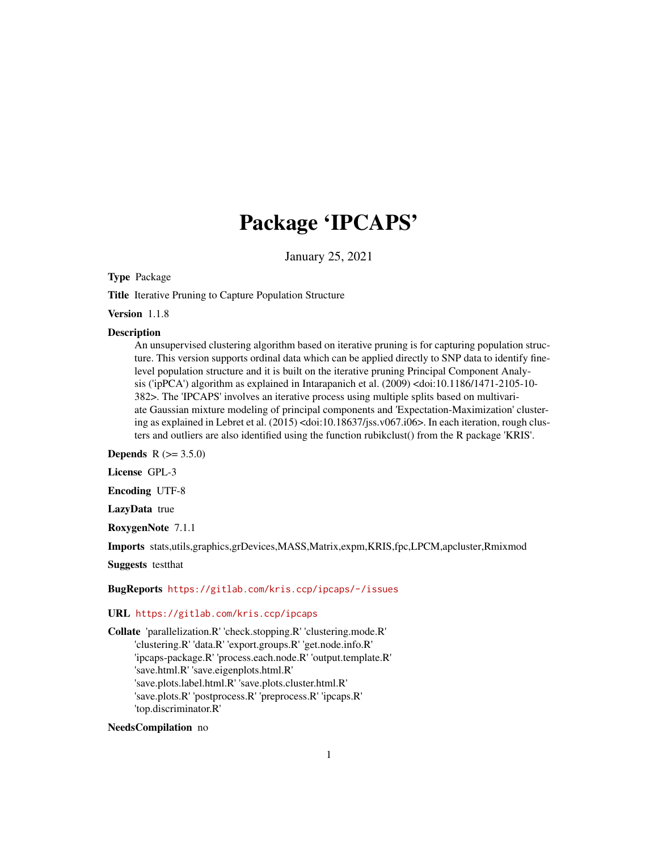# Package 'IPCAPS'

January 25, 2021

<span id="page-0-0"></span>Type Package

Title Iterative Pruning to Capture Population Structure

Version 1.1.8

#### **Description**

An unsupervised clustering algorithm based on iterative pruning is for capturing population structure. This version supports ordinal data which can be applied directly to SNP data to identify finelevel population structure and it is built on the iterative pruning Principal Component Analysis ('ipPCA') algorithm as explained in Intarapanich et al. (2009) <doi:10.1186/1471-2105-10- 382>. The 'IPCAPS' involves an iterative process using multiple splits based on multivariate Gaussian mixture modeling of principal components and 'Expectation-Maximization' clustering as explained in Lebret et al. (2015) <doi:10.18637/jss.v067.i06>. In each iteration, rough clusters and outliers are also identified using the function rubikclust() from the R package 'KRIS'.

**Depends**  $R (= 3.5.0)$ 

License GPL-3

Encoding UTF-8

LazyData true

RoxygenNote 7.1.1

Imports stats,utils,graphics,grDevices,MASS,Matrix,expm,KRIS,fpc,LPCM,apcluster,Rmixmod

Suggests testthat

#### BugReports <https://gitlab.com/kris.ccp/ipcaps/-/issues>

# URL <https://gitlab.com/kris.ccp/ipcaps>

Collate 'parallelization.R' 'check.stopping.R' 'clustering.mode.R' 'clustering.R' 'data.R' 'export.groups.R' 'get.node.info.R' 'ipcaps-package.R' 'process.each.node.R' 'output.template.R' 'save.html.R' 'save.eigenplots.html.R' 'save.plots.label.html.R' 'save.plots.cluster.html.R' 'save.plots.R' 'postprocess.R' 'preprocess.R' 'ipcaps.R' 'top.discriminator.R'

# NeedsCompilation no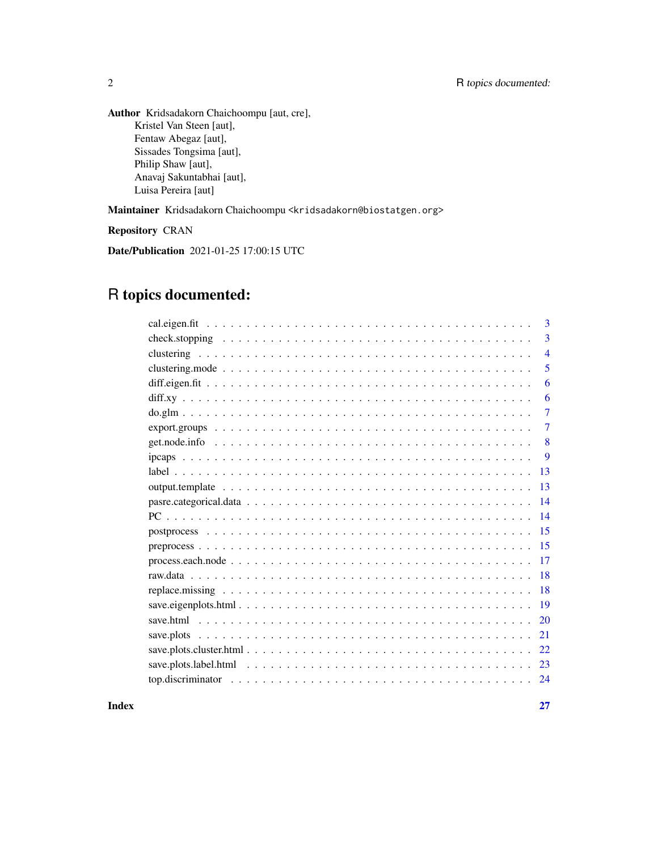Author Kridsadakorn Chaichoompu [aut, cre], Kristel Van Steen [aut], Fentaw Abegaz [aut], Sissades Tongsima [aut], Philip Shaw [aut], Anavaj Sakuntabhai [aut], Luisa Pereira [aut]

Maintainer Kridsadakorn Chaichoompu <kridsadakorn@biostatgen.org>

Repository CRAN

Date/Publication 2021-01-25 17:00:15 UTC

# R topics documented:

|                                                                                                                      | 3              |
|----------------------------------------------------------------------------------------------------------------------|----------------|
|                                                                                                                      | 3              |
|                                                                                                                      | $\overline{4}$ |
|                                                                                                                      | 5              |
|                                                                                                                      | 6              |
|                                                                                                                      | 6              |
|                                                                                                                      | $\overline{7}$ |
|                                                                                                                      | 7              |
|                                                                                                                      | 8              |
|                                                                                                                      | 9              |
|                                                                                                                      | -13            |
|                                                                                                                      | 13             |
|                                                                                                                      |                |
|                                                                                                                      | 14             |
|                                                                                                                      |                |
|                                                                                                                      |                |
|                                                                                                                      |                |
|                                                                                                                      |                |
|                                                                                                                      |                |
|                                                                                                                      |                |
|                                                                                                                      | <sup>20</sup>  |
|                                                                                                                      | 21             |
| save.plots.cluster.html $\ldots \ldots \ldots \ldots \ldots \ldots \ldots \ldots \ldots \ldots \ldots \ldots \ldots$ | 22             |
| save.plots.label.html $\ldots \ldots \ldots \ldots \ldots \ldots \ldots \ldots \ldots \ldots \ldots \ldots \ldots$   | -23            |
|                                                                                                                      | 24             |
|                                                                                                                      |                |

**Index** [27](#page-26-0)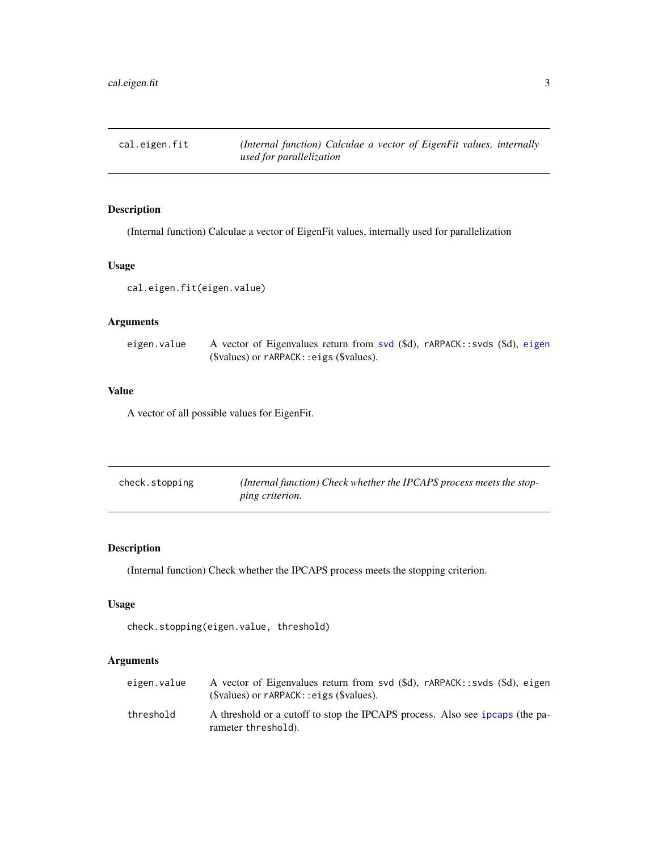<span id="page-2-0"></span>cal.eigen.fit *(Internal function) Calculae a vector of EigenFit values, internally used for parallelization*

# Description

(Internal function) Calculae a vector of EigenFit values, internally used for parallelization

# Usage

cal.eigen.fit(eigen.value)

# Arguments

eigen.value A vector of Eigenvalues return from [svd](#page-0-0) (\$d), rARPACK::svds (\$d), [eigen](#page-0-0) (\$values) or rARPACK::eigs (\$values).

#### Value

A vector of all possible values for EigenFit.

| check.stopping | (Internal function) Check whether the IPCAPS process meets the stop- |
|----------------|----------------------------------------------------------------------|
|                | <i>ping criterion.</i>                                               |

# Description

(Internal function) Check whether the IPCAPS process meets the stopping criterion.

#### Usage

```
check.stopping(eigen.value, threshold)
```

| eigen.value | A vector of Eigenvalues return from svd (\$d), rARPACK::svds (\$d), eigen<br>$(\text{Svalues})$ or $\text{rARPACK}:$ eigs $(\text{Svalues})$ . |
|-------------|------------------------------------------------------------------------------------------------------------------------------------------------|
| threshold   | A threshold or a cutoff to stop the IPCAPS process. Also see ipcaps (the pa-<br>rameter threshold).                                            |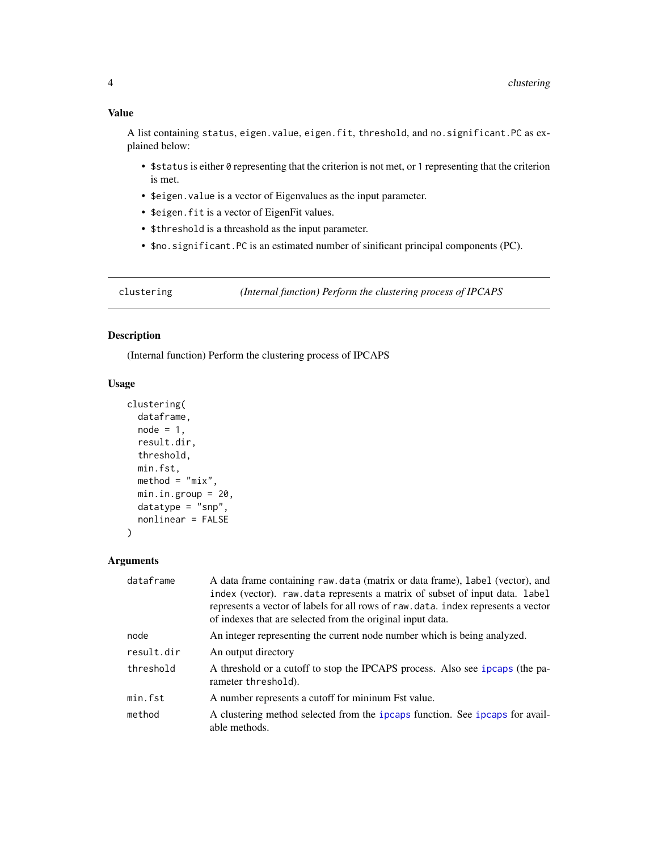<span id="page-3-0"></span>A list containing status, eigen.value, eigen.fit, threshold, and no.significant.PC as explained below:

- \$status is either 0 representing that the criterion is not met, or 1 representing that the criterion is met.
- \$eigen.value is a vector of Eigenvalues as the input parameter.
- \$eigen.fit is a vector of EigenFit values.
- \$threshold is a threashold as the input parameter.
- \$no.significant.PC is an estimated number of sinificant principal components (PC).

clustering *(Internal function) Perform the clustering process of IPCAPS*

# Description

(Internal function) Perform the clustering process of IPCAPS

# Usage

```
clustering(
  dataframe,
  node = 1,
  result.dir,
  threshold,
  min.fst,
  \text{method} = \text{"mix"},
  min.in.group = 20,datatype = "snp",
  nonlinear = FALSE
)
```

| dataframe  | A data frame containing raw.data (matrix or data frame), label (vector), and<br>index (vector). raw.data represents a matrix of subset of input data. label<br>represents a vector of labels for all rows of raw.data. index represents a vector<br>of indexes that are selected from the original input data. |
|------------|----------------------------------------------------------------------------------------------------------------------------------------------------------------------------------------------------------------------------------------------------------------------------------------------------------------|
| node       | An integer representing the current node number which is being analyzed.                                                                                                                                                                                                                                       |
| result.dir | An output directory                                                                                                                                                                                                                                                                                            |
| threshold  | A threshold or a cutoff to stop the IPCAPS process. Also see ipcaps (the pa-<br>rameter threshold).                                                                                                                                                                                                            |
| min.fst    | A number represents a cutoff for mininum Fst value.                                                                                                                                                                                                                                                            |
| method     | A clustering method selected from the ipcaps function. See ipcaps for avail-<br>able methods.                                                                                                                                                                                                                  |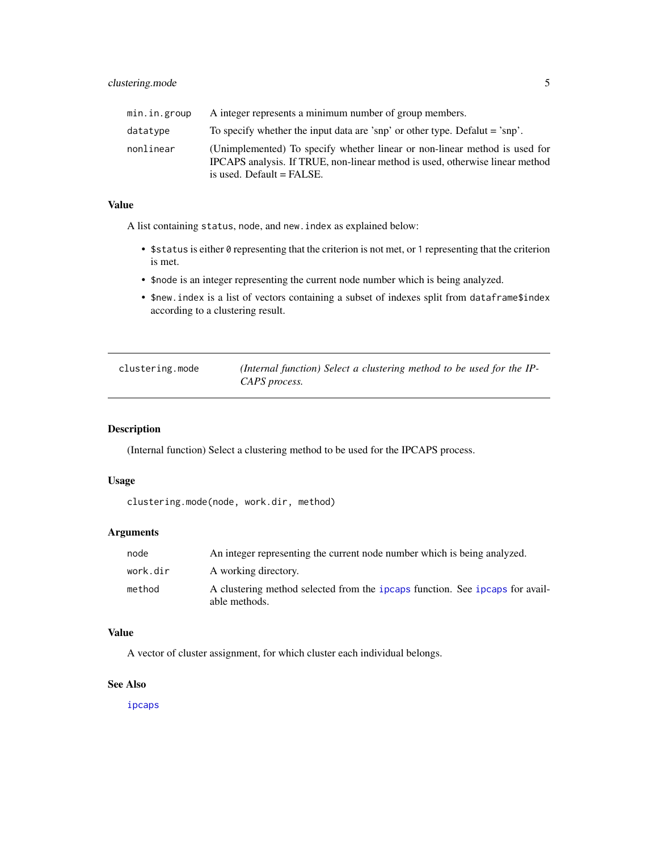<span id="page-4-0"></span>

| min.in.group | A integer represents a minimum number of group members.                                                                                                                                   |
|--------------|-------------------------------------------------------------------------------------------------------------------------------------------------------------------------------------------|
| datatype     | To specify whether the input data are 'snp' or other type. Defalut = 'snp'.                                                                                                               |
| nonlinear    | (Unimplemented) To specify whether linear or non-linear method is used for<br>IPCAPS analysis. If TRUE, non-linear method is used, otherwise linear method<br>is used. Default $=$ FALSE. |

A list containing status, node, and new.index as explained below:

- \$status is either 0 representing that the criterion is not met, or 1 representing that the criterion is met.
- \$node is an integer representing the current node number which is being analyzed.
- \$new.index is a list of vectors containing a subset of indexes split from dataframe\$index according to a clustering result.

| clustering.mode | (Internal function) Select a clustering method to be used for the IP- |
|-----------------|-----------------------------------------------------------------------|
|                 | CAPS process.                                                         |

# Description

(Internal function) Select a clustering method to be used for the IPCAPS process.

# Usage

```
clustering.mode(node, work.dir, method)
```
# Arguments

| node     | An integer representing the current node number which is being analyzed.                      |
|----------|-----------------------------------------------------------------------------------------------|
| work.dir | A working directory.                                                                          |
| method   | A clustering method selected from the ipcaps function. See ipcaps for avail-<br>able methods. |

# Value

A vector of cluster assignment, for which cluster each individual belongs.

#### See Also

[ipcaps](#page-8-1)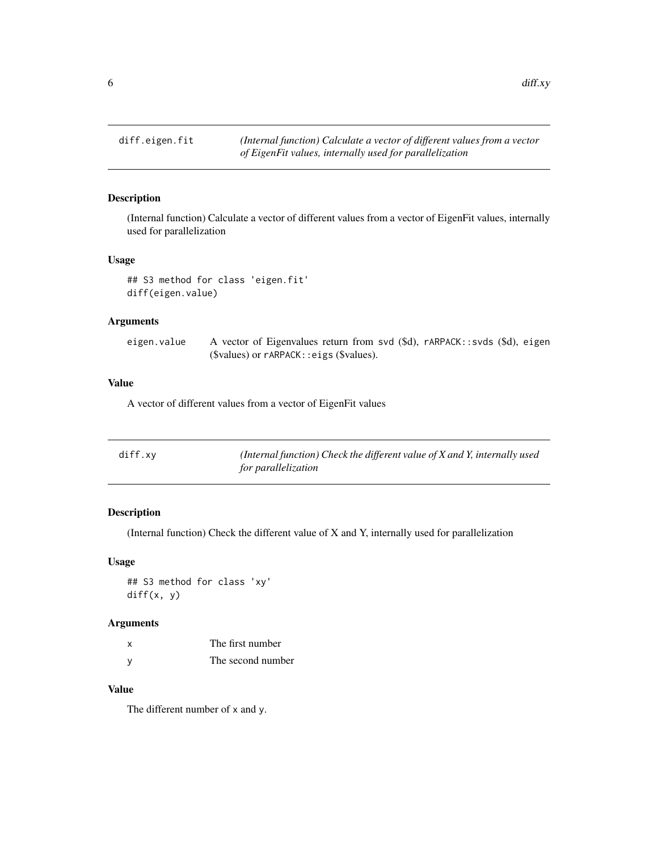<span id="page-5-0"></span> $\delta$  diff.xy

# Description

(Internal function) Calculate a vector of different values from a vector of EigenFit values, internally used for parallelization

# Usage

## S3 method for class 'eigen.fit' diff(eigen.value)

# Arguments

| eigen.value | A vector of Eigenvalues return from svd (\$d), rARPACK::svds (\$d), eigen |  |
|-------------|---------------------------------------------------------------------------|--|
|             | $$values)$ or $r$ ARPACK:: eigs $$values)$ .                              |  |

# Value

A vector of different values from a vector of EigenFit values

| diff.xy | (Internal function) Check the different value of $X$ and $Y$ , internally used |
|---------|--------------------------------------------------------------------------------|
|         | for parallelization                                                            |

# Description

(Internal function) Check the different value of X and Y, internally used for parallelization

# Usage

## S3 method for class 'xy' diff(x, y)

# Arguments

| x | The first number  |
|---|-------------------|
| v | The second number |

# Value

The different number of x and y.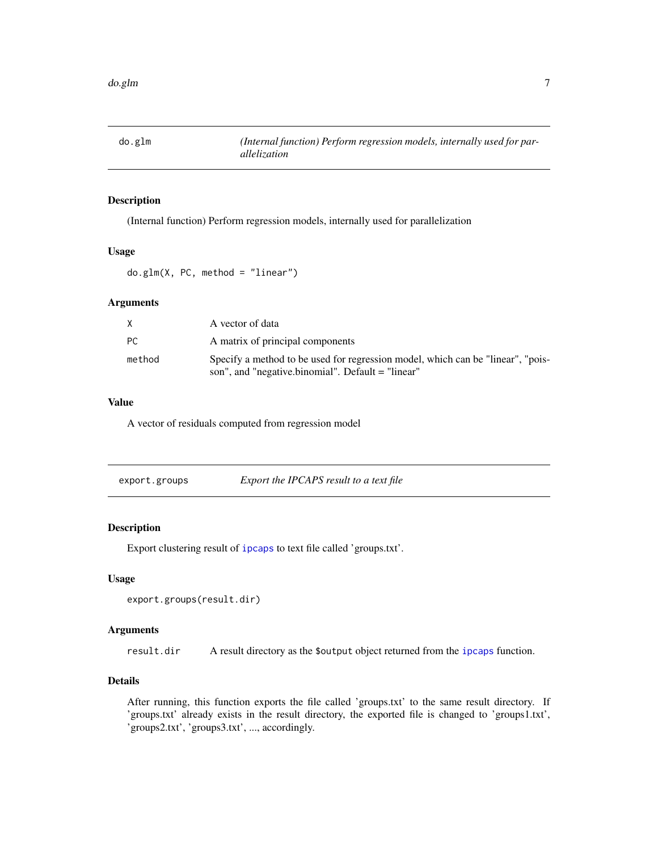<span id="page-6-0"></span>

# Description

(Internal function) Perform regression models, internally used for parallelization

#### Usage

do.glm(X, PC, method = "linear")

# Arguments

|        | A vector of data                                                                                                                     |
|--------|--------------------------------------------------------------------------------------------------------------------------------------|
| PC     | A matrix of principal components                                                                                                     |
| method | Specify a method to be used for regression model, which can be "linear", "pois-<br>son", and "negative.binomial". Default = "linear" |

# Value

A vector of residuals computed from regression model

| export.groups | Export the IPCAPS result to a text file |
|---------------|-----------------------------------------|
|---------------|-----------------------------------------|

# Description

Export clustering result of [ipcaps](#page-8-1) to text file called 'groups.txt'.

# Usage

```
export.groups(result.dir)
```
# Arguments

result.dir A result directory as the \$output object returned from the [ipcaps](#page-8-1) function.

# Details

After running, this function exports the file called 'groups.txt' to the same result directory. If 'groups.txt' already exists in the result directory, the exported file is changed to 'groups1.txt', 'groups2.txt', 'groups3.txt', ..., accordingly.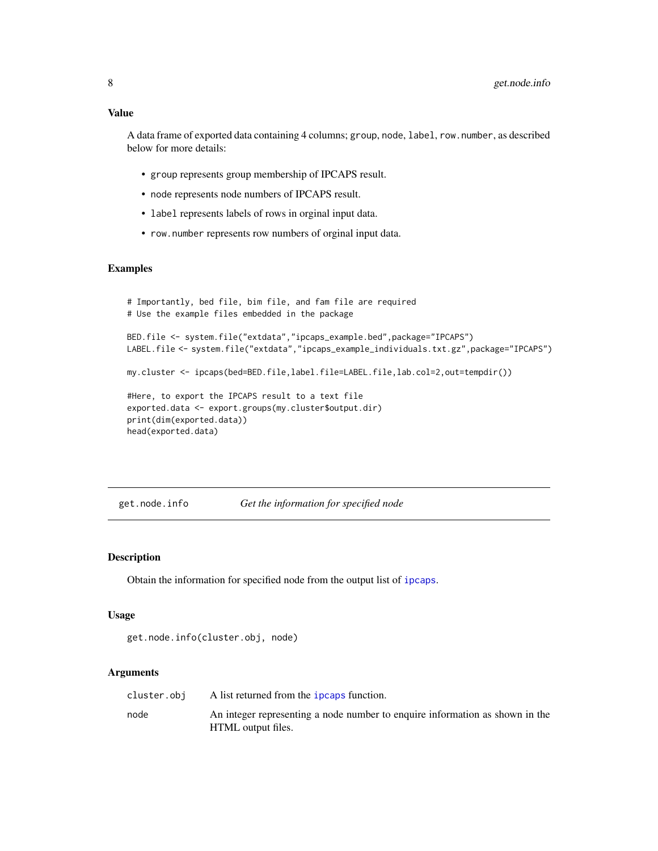<span id="page-7-0"></span>A data frame of exported data containing 4 columns; group, node, label, row.number, as described below for more details:

- group represents group membership of IPCAPS result.
- node represents node numbers of IPCAPS result.
- label represents labels of rows in orginal input data.
- row.number represents row numbers of orginal input data.

#### Examples

```
# Importantly, bed file, bim file, and fam file are required
# Use the example files embedded in the package
BED.file <- system.file("extdata","ipcaps_example.bed",package="IPCAPS")
LABEL.file <- system.file("extdata","ipcaps_example_individuals.txt.gz",package="IPCAPS")
my.cluster <- ipcaps(bed=BED.file,label.file=LABEL.file,lab.col=2,out=tempdir())
#Here, to export the IPCAPS result to a text file
exported.data <- export.groups(my.cluster$output.dir)
print(dim(exported.data))
head(exported.data)
```
get.node.info *Get the information for specified node*

# Description

Obtain the information for specified node from the output list of [ipcaps](#page-8-1).

#### Usage

get.node.info(cluster.obj, node)

| cluster.obi | A list returned from the <i>ipcaps</i> function.                                                   |
|-------------|----------------------------------------------------------------------------------------------------|
| node        | An integer representing a node number to enquire information as shown in the<br>HTML output files. |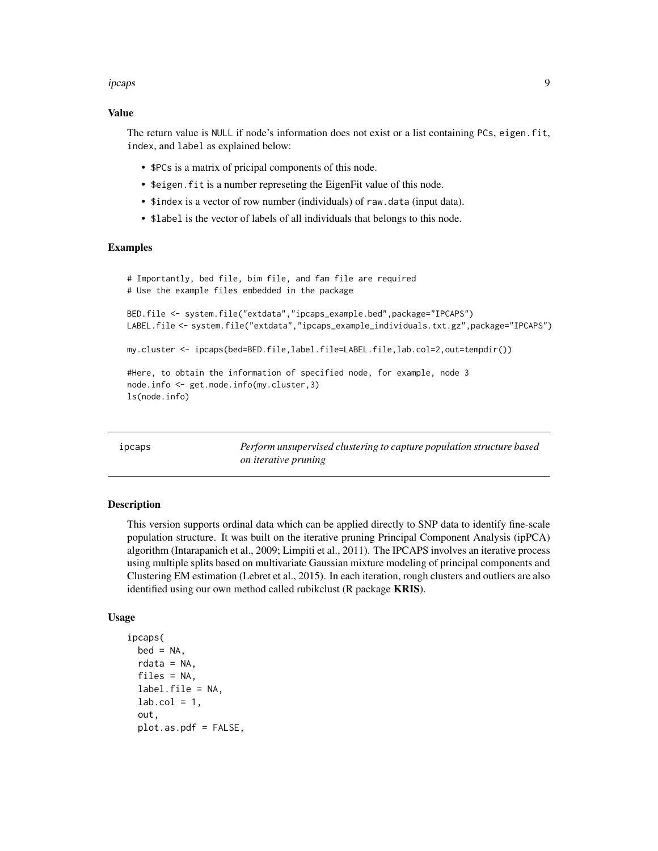#### <span id="page-8-0"></span>ipcaps and the contract of the contract of the contract of the contract of the contract of the contract of the contract of the contract of the contract of the contract of the contract of the contract of the contract of the

#### Value

The return value is NULL if node's information does not exist or a list containing PCs, eigen. fit, index, and label as explained below:

- \$PCs is a matrix of pricipal components of this node.
- \$eigen.fit is a number represeting the EigenFit value of this node.
- \$index is a vector of row number (individuals) of raw.data (input data).
- \$label is the vector of labels of all individuals that belongs to this node.

#### Examples

```
# Importantly, bed file, bim file, and fam file are required
# Use the example files embedded in the package
BED.file <- system.file("extdata","ipcaps_example.bed",package="IPCAPS")
LABEL.file <- system.file("extdata","ipcaps_example_individuals.txt.gz",package="IPCAPS")
my.cluster <- ipcaps(bed=BED.file,label.file=LABEL.file,lab.col=2,out=tempdir())
#Here, to obtain the information of specified node, for example, node 3
node.info <- get.node.info(my.cluster,3)
ls(node.info)
```
<span id="page-8-1"></span>ipcaps *Perform unsupervised clustering to capture population structure based on iterative pruning*

# Description

This version supports ordinal data which can be applied directly to SNP data to identify fine-scale population structure. It was built on the iterative pruning Principal Component Analysis (ipPCA) algorithm (Intarapanich et al., 2009; Limpiti et al., 2011). The IPCAPS involves an iterative process using multiple splits based on multivariate Gaussian mixture modeling of principal components and Clustering EM estimation (Lebret et al., 2015). In each iteration, rough clusters and outliers are also identified using our own method called rubikclust (R package **KRIS**).

#### Usage

```
ipcaps(
 bed = NA,
  rdata = NA,
 files = NA,
  label.file = NA,
  lab,col = 1,out,
 plot.as.pdf = FALSE,
```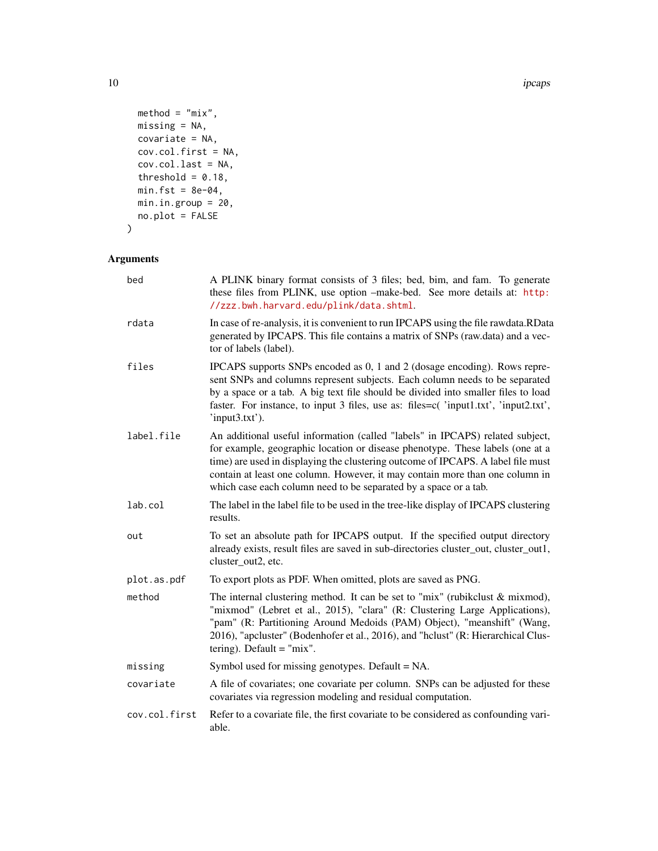10 ipcaps and the contract of the contract of the contract of the contract of the contract of the contract of the contract of the contract of the contract of the contract of the contract of the contract of the contract of

```
\text{method} = \text{"mix",}missing = NA,
  covariate = NA,
  cov.col.first = NA,
  cov.col.last = NA,
  threshold = 0.18,
  min.fst = 8e-04,min.in.group = 20,
  no.plot = FALSE
)
```

```
Arguments
```

| bed           | A PLINK binary format consists of 3 files; bed, bim, and fam. To generate<br>these files from PLINK, use option -make-bed. See more details at: http:<br>//zzz.bwh.harvard.edu/plink/data.shtml.                                                                                                                                                                                                       |
|---------------|--------------------------------------------------------------------------------------------------------------------------------------------------------------------------------------------------------------------------------------------------------------------------------------------------------------------------------------------------------------------------------------------------------|
| rdata         | In case of re-analysis, it is convenient to run IPCAPS using the file rawdata.RData<br>generated by IPCAPS. This file contains a matrix of SNPs (raw.data) and a vec-<br>tor of labels (label).                                                                                                                                                                                                        |
| files         | IPCAPS supports SNPs encoded as 0, 1 and 2 (dosage encoding). Rows repre-<br>sent SNPs and columns represent subjects. Each column needs to be separated<br>by a space or a tab. A big text file should be divided into smaller files to load<br>faster. For instance, to input 3 files, use as: files=c('input1.txt', 'input2.txt',<br>'input3.txt').                                                 |
| label.file    | An additional useful information (called "labels" in IPCAPS) related subject,<br>for example, geographic location or disease phenotype. These labels (one at a<br>time) are used in displaying the clustering outcome of IPCAPS. A label file must<br>contain at least one column. However, it may contain more than one column in<br>which case each column need to be separated by a space or a tab. |
| lab.col       | The label in the label file to be used in the tree-like display of IPCAPS clustering<br>results.                                                                                                                                                                                                                                                                                                       |
| out           | To set an absolute path for IPCAPS output. If the specified output directory<br>already exists, result files are saved in sub-directories cluster_out, cluster_out1,<br>cluster_out2, etc.                                                                                                                                                                                                             |
| plot.as.pdf   | To export plots as PDF. When omitted, plots are saved as PNG.                                                                                                                                                                                                                                                                                                                                          |
| method        | The internal clustering method. It can be set to "mix" (rubikclust $&$ mixmod),<br>"mixmod" (Lebret et al., 2015), "clara" (R: Clustering Large Applications),<br>"pam" (R: Partitioning Around Medoids (PAM) Object), "meanshift" (Wang,<br>2016), "apcluster" (Bodenhofer et al., 2016), and "hclust" (R: Hierarchical Clus-<br>tering). Default $=$ "mix".                                          |
| missing       | Symbol used for missing genotypes. Default = NA.                                                                                                                                                                                                                                                                                                                                                       |
| covariate     | A file of covariates; one covariate per column. SNPs can be adjusted for these<br>covariates via regression modeling and residual computation.                                                                                                                                                                                                                                                         |
| cov.col.first | Refer to a covariate file, the first covariate to be considered as confounding vari-<br>able.                                                                                                                                                                                                                                                                                                          |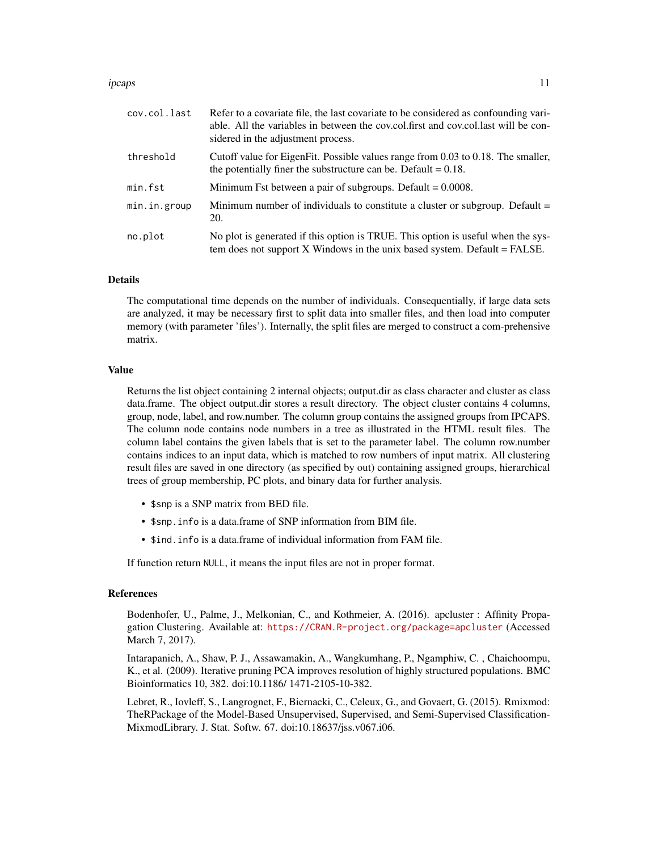#### ipcaps and the state of the state of the state of the state of the state of the state of the state of the state of the state of the state of the state of the state of the state of the state of the state of the state of the

| cov.col.last | Refer to a covariate file, the last covariate to be considered as confounding vari-<br>able. All the variables in between the cov.col.first and cov.col.last will be con-<br>sidered in the adjustment process. |
|--------------|-----------------------------------------------------------------------------------------------------------------------------------------------------------------------------------------------------------------|
| threshold    | Cutoff value for EigenFit. Possible values range from 0.03 to 0.18. The smaller,<br>the potentially finer the substructure can be. Default $= 0.18$ .                                                           |
| min.fst      | Minimum Fst between a pair of subgroups. Default $= 0.0008$ .                                                                                                                                                   |
| min.in.group | Minimum number of individuals to constitute a cluster or subgroup. Default =<br>20.                                                                                                                             |
| no.plot      | No plot is generated if this option is TRUE. This option is useful when the sys-<br>tem does not support $X$ Windows in the unix based system. Default = FALSE.                                                 |

#### Details

The computational time depends on the number of individuals. Consequentially, if large data sets are analyzed, it may be necessary first to split data into smaller files, and then load into computer memory (with parameter 'files'). Internally, the split files are merged to construct a com-prehensive matrix.

#### Value

Returns the list object containing 2 internal objects; output.dir as class character and cluster as class data.frame. The object output.dir stores a result directory. The object cluster contains 4 columns, group, node, label, and row.number. The column group contains the assigned groups from IPCAPS. The column node contains node numbers in a tree as illustrated in the HTML result files. The column label contains the given labels that is set to the parameter label. The column row.number contains indices to an input data, which is matched to row numbers of input matrix. All clustering result files are saved in one directory (as specified by out) containing assigned groups, hierarchical trees of group membership, PC plots, and binary data for further analysis.

- \$snp is a SNP matrix from BED file.
- \$snp.info is a data.frame of SNP information from BIM file.
- \$ind.info is a data.frame of individual information from FAM file.

If function return NULL, it means the input files are not in proper format.

#### References

Bodenhofer, U., Palme, J., Melkonian, C., and Kothmeier, A. (2016). apcluster : Affinity Propagation Clustering. Available at: <https://CRAN.R-project.org/package=apcluster> (Accessed March 7, 2017).

Intarapanich, A., Shaw, P. J., Assawamakin, A., Wangkumhang, P., Ngamphiw, C. , Chaichoompu, K., et al. (2009). Iterative pruning PCA improves resolution of highly structured populations. BMC Bioinformatics 10, 382. doi:10.1186/ 1471-2105-10-382.

Lebret, R., Iovleff, S., Langrognet, F., Biernacki, C., Celeux, G., and Govaert, G. (2015). Rmixmod: TheRPackage of the Model-Based Unsupervised, Supervised, and Semi-Supervised Classification-MixmodLibrary. J. Stat. Softw. 67. doi:10.18637/jss.v067.i06.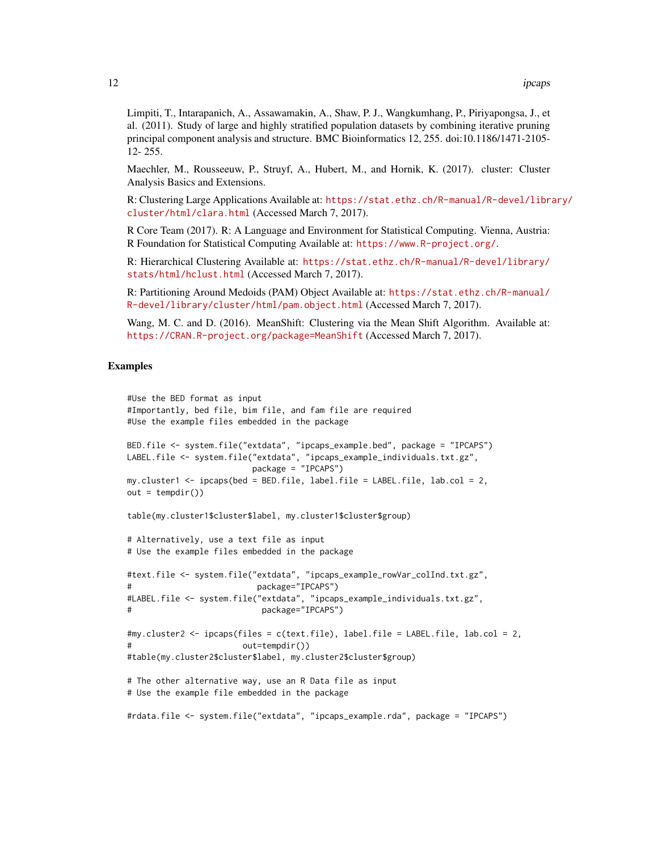Limpiti, T., Intarapanich, A., Assawamakin, A., Shaw, P. J., Wangkumhang, P., Piriyapongsa, J., et al. (2011). Study of large and highly stratified population datasets by combining iterative pruning principal component analysis and structure. BMC Bioinformatics 12, 255. doi:10.1186/1471-2105- 12- 255.

Maechler, M., Rousseeuw, P., Struyf, A., Hubert, M., and Hornik, K. (2017). cluster: Cluster Analysis Basics and Extensions.

R: Clustering Large Applications Available at: [https://stat.ethz.ch/R-manual/R-devel/libr](https://stat.ethz.ch/R-manual/R-devel/library/cluster/html/clara.html)ary/ [cluster/html/clara.html](https://stat.ethz.ch/R-manual/R-devel/library/cluster/html/clara.html) (Accessed March 7, 2017).

R Core Team (2017). R: A Language and Environment for Statistical Computing. Vienna, Austria: R Foundation for Statistical Computing Available at: <https://www.R-project.org/>.

R: Hierarchical Clustering Available at: [https://stat.ethz.ch/R-manual/R-devel/library/](https://stat.ethz.ch/R-manual/R-devel/library/stats/html/hclust.html) [stats/html/hclust.html](https://stat.ethz.ch/R-manual/R-devel/library/stats/html/hclust.html) (Accessed March 7, 2017).

R: Partitioning Around Medoids (PAM) Object Available at: [https://stat.ethz.ch/R-manual/](https://stat.ethz.ch/R-manual/R-devel/library/cluster/html/pam.object.html) [R-devel/library/cluster/html/pam.object.html](https://stat.ethz.ch/R-manual/R-devel/library/cluster/html/pam.object.html) (Accessed March 7, 2017).

Wang, M. C. and D. (2016). MeanShift: Clustering via the Mean Shift Algorithm. Available at: <https://CRAN.R-project.org/package=MeanShift> (Accessed March 7, 2017).

#### Examples

```
#Use the BED format as input
#Importantly, bed file, bim file, and fam file are required
#Use the example files embedded in the package
BED.file <- system.file("extdata", "ipcaps_example.bed", package = "IPCAPS")
LABEL.file <- system.file("extdata", "ipcaps_example_individuals.txt.gz",
                          package = "IPCAPS")
my.cluster1 <- ipcaps(bed = BED.file, label.file = LABEL.file, lab.col = 2,
out = tempdir()table(my.cluster1$cluster$label, my.cluster1$cluster$group)
# Alternatively, use a text file as input
# Use the example files embedded in the package
#text.file <- system.file("extdata", "ipcaps_example_rowVar_colInd.txt.gz",
                           package="IPCAPS")
#LABEL.file <- system.file("extdata", "ipcaps_example_individuals.txt.gz",
                            package="IPCAPS")
#my.cluster2 <- ipcaps(files = c(text.file), label.file = LABEL.file, lab.col = 2,
                        out = tempdir()#table(my.cluster2$cluster$label, my.cluster2$cluster$group)
# The other alternative way, use an R Data file as input
# Use the example file embedded in the package
#rdata.file <- system.file("extdata", "ipcaps_example.rda", package = "IPCAPS")
```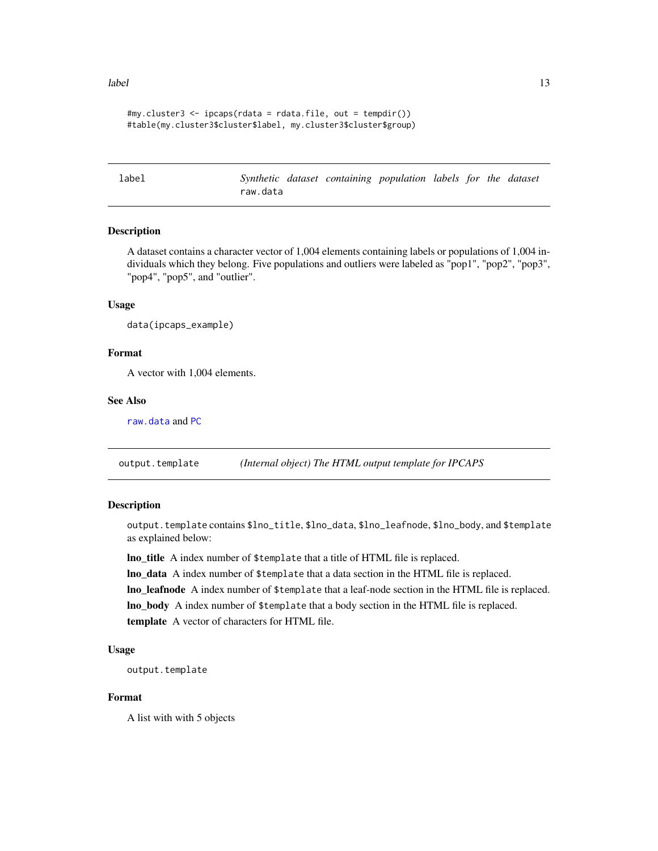#### <span id="page-12-0"></span>label 13

```
#my.cluster3 <- ipcaps(rdata = rdata.file, out = tempdir())
#table(my.cluster3$cluster$label, my.cluster3$cluster$group)
```
<span id="page-12-1"></span>label *Synthetic dataset containing population labels for the dataset* raw.data

#### Description

A dataset contains a character vector of 1,004 elements containing labels or populations of 1,004 individuals which they belong. Five populations and outliers were labeled as "pop1", "pop2", "pop3", "pop4", "pop5", and "outlier".

#### Usage

data(ipcaps\_example)

#### Format

A vector with 1,004 elements.

# See Also

[raw.data](#page-17-1) and [PC](#page-13-1)

output.template *(Internal object) The HTML output template for IPCAPS*

# Description

output.template contains \$lno\_title, \$lno\_data, \$lno\_leafnode, \$lno\_body, and \$template as explained below:

lno\_title A index number of \$template that a title of HTML file is replaced.

lno\_data A index number of \$template that a data section in the HTML file is replaced. lno\_leafnode A index number of \$template that a leaf-node section in the HTML file is replaced. lno\_body A index number of \$template that a body section in the HTML file is replaced. template A vector of characters for HTML file.

# Usage

```
output.template
```
#### Format

A list with with 5 objects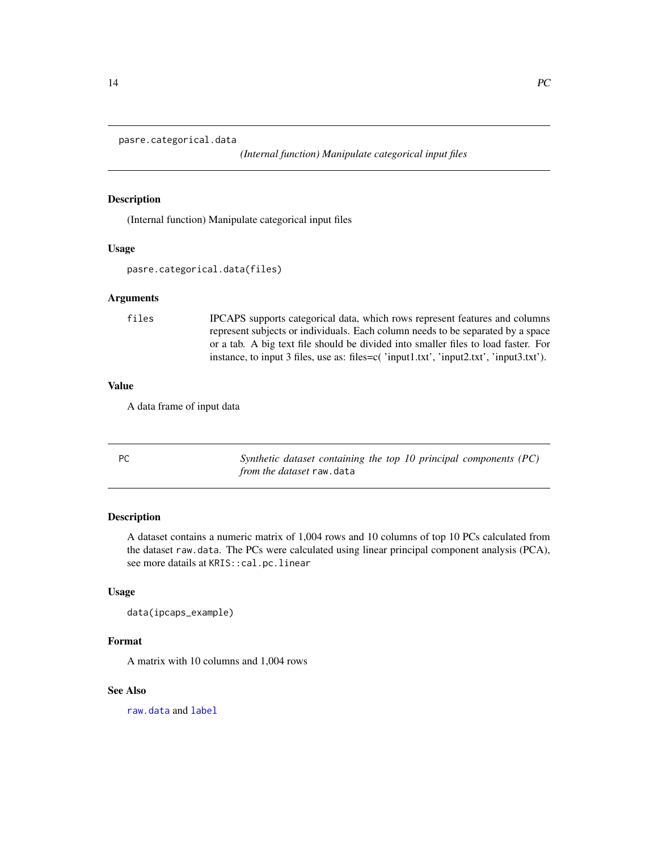<span id="page-13-0"></span>pasre.categorical.data

*(Internal function) Manipulate categorical input files*

# Description

(Internal function) Manipulate categorical input files

#### Usage

pasre.categorical.data(files)

#### Arguments

files IPCAPS supports categorical data, which rows represent features and columns represent subjects or individuals. Each column needs to be separated by a space or a tab. A big text file should be divided into smaller files to load faster. For instance, to input 3 files, use as: files=c( 'input1.txt', 'input2.txt', 'input3.txt').

#### Value

A data frame of input data

<span id="page-13-1"></span>PC *Synthetic dataset containing the top 10 principal components (PC) from the dataset* raw.data

#### Description

A dataset contains a numeric matrix of 1,004 rows and 10 columns of top 10 PCs calculated from the dataset raw.data. The PCs were calculated using linear principal component analysis (PCA), see more datails at KRIS::cal.pc.linear

# Usage

```
data(ipcaps_example)
```
#### Format

A matrix with 10 columns and 1,004 rows

# See Also

[raw.data](#page-17-1) and [label](#page-12-1)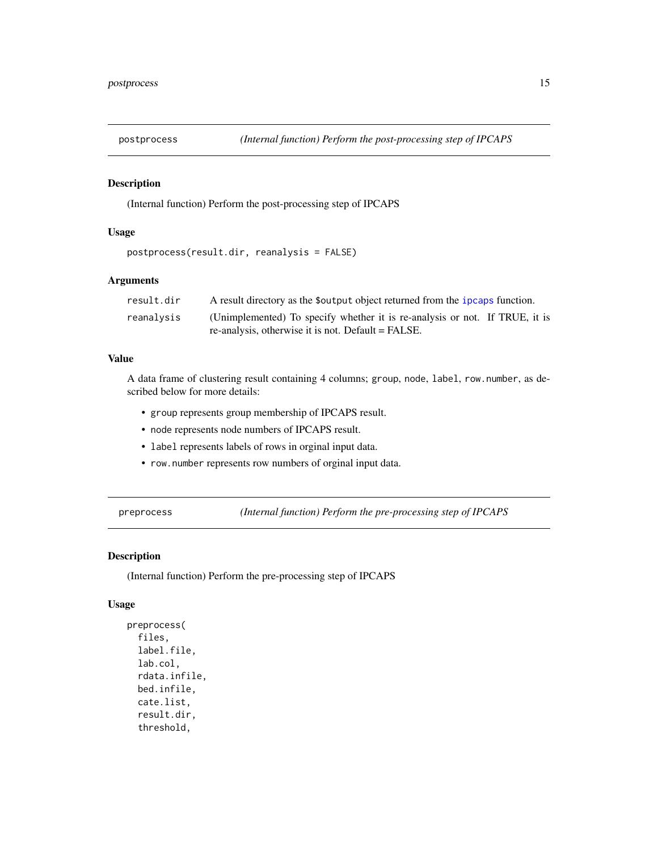<span id="page-14-0"></span>

# Description

(Internal function) Perform the post-processing step of IPCAPS

#### Usage

```
postprocess(result.dir, reanalysis = FALSE)
```
# Arguments

| result.dir | A result directory as the \$output object returned from the ipcaps function. |
|------------|------------------------------------------------------------------------------|
| reanalysis | (Unimplemented) To specify whether it is re-analysis or not. If TRUE, it is  |
|            | re-analysis, otherwise it is not. Default = FALSE.                           |

# Value

A data frame of clustering result containing 4 columns; group, node, label, row.number, as described below for more details:

- group represents group membership of IPCAPS result.
- node represents node numbers of IPCAPS result.
- label represents labels of rows in orginal input data.
- row.number represents row numbers of orginal input data.

preprocess *(Internal function) Perform the pre-processing step of IPCAPS*

# Description

(Internal function) Perform the pre-processing step of IPCAPS

#### Usage

```
preprocess(
  files,
  label.file,
  lab.col,
  rdata.infile,
  bed.infile,
  cate.list,
  result.dir,
  threshold,
```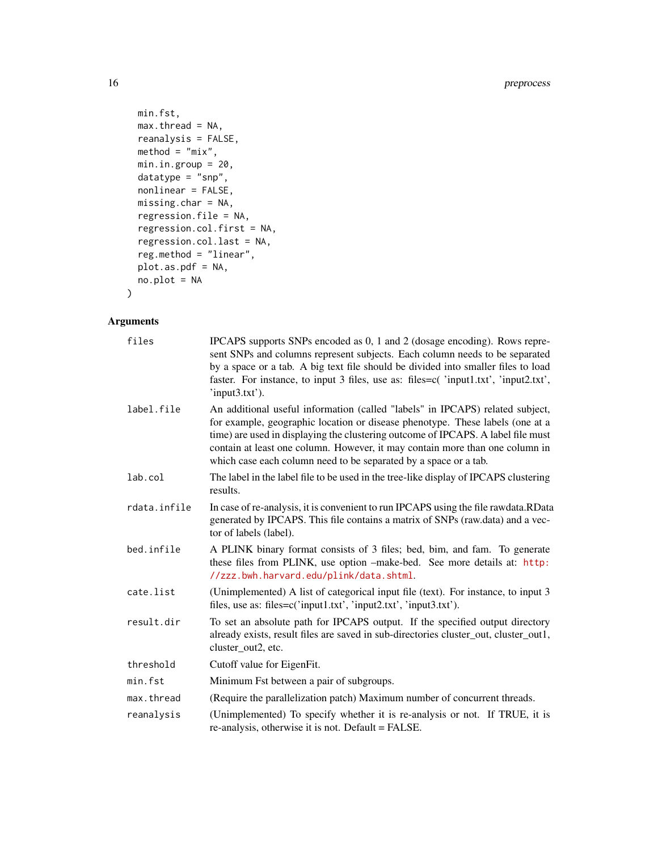```
min.fst,
 max.thread = NA,
 reanalysis = FALSE,
 \text{method} = \text{"mix",}min.in.group = 20,datatype = "snp",
 nonlinear = FALSE,
 missing.char = NA,
  regression.file = NA,
  regression.col.first = NA,
  regression.col.last = NA,
 reg.method = "linear",
 plot.as.pdf = NA,
 no.plot = NA
\mathcal{L}
```

| files        | IPCAPS supports SNPs encoded as 0, 1 and 2 (dosage encoding). Rows repre-<br>sent SNPs and columns represent subjects. Each column needs to be separated<br>by a space or a tab. A big text file should be divided into smaller files to load<br>faster. For instance, to input 3 files, use as: files=c('input1.txt', 'input2.txt',<br>'input3.txt').                                                 |
|--------------|--------------------------------------------------------------------------------------------------------------------------------------------------------------------------------------------------------------------------------------------------------------------------------------------------------------------------------------------------------------------------------------------------------|
| label.file   | An additional useful information (called "labels" in IPCAPS) related subject,<br>for example, geographic location or disease phenotype. These labels (one at a<br>time) are used in displaying the clustering outcome of IPCAPS. A label file must<br>contain at least one column. However, it may contain more than one column in<br>which case each column need to be separated by a space or a tab. |
| lab.col      | The label in the label file to be used in the tree-like display of IPCAPS clustering<br>results.                                                                                                                                                                                                                                                                                                       |
| rdata.infile | In case of re-analysis, it is convenient to run IPCAPS using the file rawdata.RData<br>generated by IPCAPS. This file contains a matrix of SNPs (raw.data) and a vec-<br>tor of labels (label).                                                                                                                                                                                                        |
| bed.infile   | A PLINK binary format consists of 3 files; bed, bim, and fam. To generate<br>these files from PLINK, use option -make-bed. See more details at: http:<br>//zzz.bwh.harvard.edu/plink/data.shtml.                                                                                                                                                                                                       |
| cate.list    | (Unimplemented) A list of categorical input file (text). For instance, to input 3<br>files, use as: files=c('input1.txt', 'input2.txt', 'input3.txt').                                                                                                                                                                                                                                                 |
| result.dir   | To set an absolute path for IPCAPS output. If the specified output directory<br>already exists, result files are saved in sub-directories cluster_out, cluster_out1,<br>cluster_out2, etc.                                                                                                                                                                                                             |
| threshold    | Cutoff value for Eigen Fit.                                                                                                                                                                                                                                                                                                                                                                            |
| min.fst      | Minimum Fst between a pair of subgroups.                                                                                                                                                                                                                                                                                                                                                               |
| max.thread   | (Require the parallelization patch) Maximum number of concurrent threads.                                                                                                                                                                                                                                                                                                                              |
| reanalysis   | (Unimplemented) To specify whether it is re-analysis or not. If TRUE, it is<br>re-analysis, otherwise it is not. Default = FALSE.                                                                                                                                                                                                                                                                      |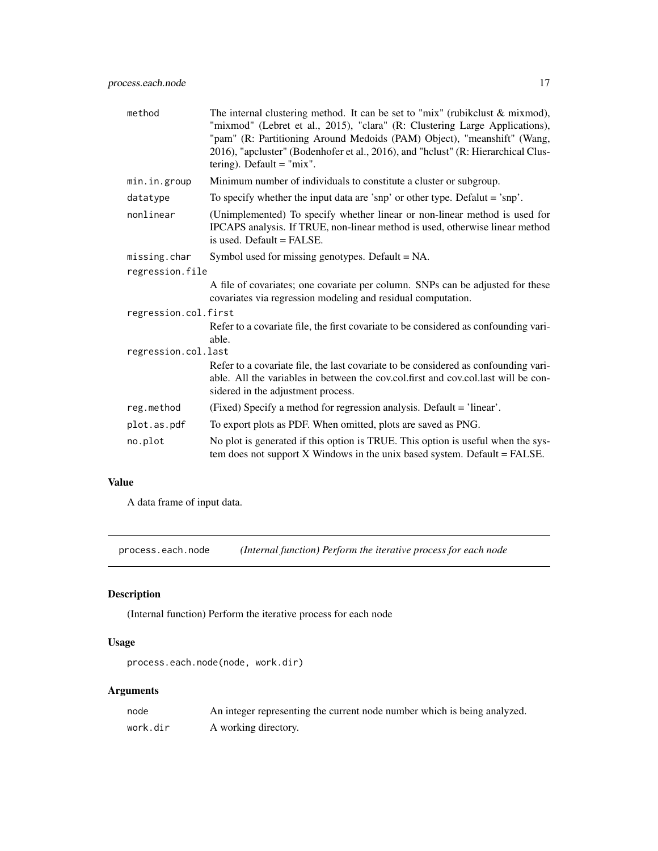<span id="page-16-0"></span>

| method               | The internal clustering method. It can be set to "mix" (rubikclust $\&$ mixmod),<br>"mixmod" (Lebret et al., 2015), "clara" (R: Clustering Large Applications),<br>"pam" (R: Partitioning Around Medoids (PAM) Object), "meanshift" (Wang,<br>2016), "apcluster" (Bodenhofer et al., 2016), and "hclust" (R: Hierarchical Clus-<br>tering). Default $=$ "mix". |
|----------------------|----------------------------------------------------------------------------------------------------------------------------------------------------------------------------------------------------------------------------------------------------------------------------------------------------------------------------------------------------------------|
| min.in.group         | Minimum number of individuals to constitute a cluster or subgroup.                                                                                                                                                                                                                                                                                             |
| datatype             | To specify whether the input data are 'snp' or other type. Defalut $=$ 'snp'.                                                                                                                                                                                                                                                                                  |
| nonlinear            | (Unimplemented) To specify whether linear or non-linear method is used for<br>IPCAPS analysis. If TRUE, non-linear method is used, otherwise linear method<br>is used. Default $=$ FALSE.                                                                                                                                                                      |
| missing.char         | Symbol used for missing genotypes. Default = NA.                                                                                                                                                                                                                                                                                                               |
| regression.file      |                                                                                                                                                                                                                                                                                                                                                                |
|                      | A file of covariates; one covariate per column. SNPs can be adjusted for these<br>covariates via regression modeling and residual computation.                                                                                                                                                                                                                 |
| regression.col.first |                                                                                                                                                                                                                                                                                                                                                                |
|                      | Refer to a covariate file, the first covariate to be considered as confounding vari-<br>able.                                                                                                                                                                                                                                                                  |
| regression.col.last  |                                                                                                                                                                                                                                                                                                                                                                |
|                      | Refer to a covariate file, the last covariate to be considered as confounding vari-<br>able. All the variables in between the cov.col.first and cov.col.last will be con-<br>sidered in the adjustment process.                                                                                                                                                |
| reg.method           | (Fixed) Specify a method for regression analysis. Default = 'linear'.                                                                                                                                                                                                                                                                                          |
| plot.as.pdf          | To export plots as PDF. When omitted, plots are saved as PNG.                                                                                                                                                                                                                                                                                                  |
| no.plot              | No plot is generated if this option is TRUE. This option is useful when the sys-<br>tem does not support $X$ Windows in the unix based system. Default = FALSE.                                                                                                                                                                                                |

A data frame of input data.

process.each.node *(Internal function) Perform the iterative process for each node*

# Description

(Internal function) Perform the iterative process for each node

# Usage

```
process.each.node(node, work.dir)
```

| node     | An integer representing the current node number which is being analyzed. |
|----------|--------------------------------------------------------------------------|
| work.dir | A working directory.                                                     |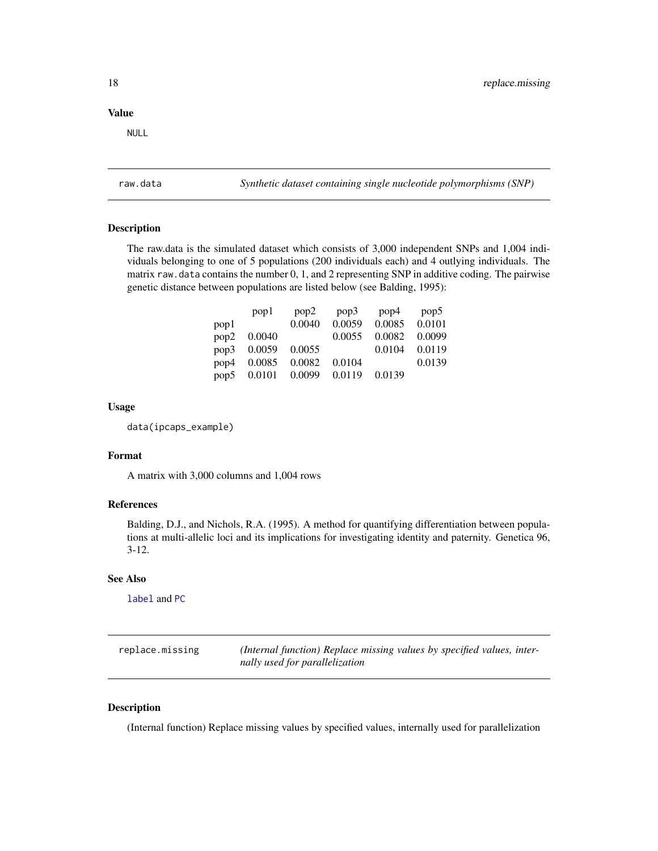<span id="page-17-0"></span>NULL

<span id="page-17-1"></span>raw.data *Synthetic dataset containing single nucleotide polymorphisms (SNP)*

#### Description

The raw.data is the simulated dataset which consists of 3,000 independent SNPs and 1,004 individuals belonging to one of 5 populations (200 individuals each) and 4 outlying individuals. The matrix raw. data contains the number 0, 1, and 2 representing SNP in additive coding. The pairwise genetic distance between populations are listed below (see Balding, 1995):

|      | pop1   | pop2   | pop3   | pop4   | pop <sub>5</sub> |
|------|--------|--------|--------|--------|------------------|
| pop1 |        | 0.0040 | 0.0059 | 0.0085 | 0.0101           |
| pop2 | 0.0040 |        | 0.0055 | 0.0082 | 0.0099           |
| pop3 | 0.0059 | 0.0055 |        | 0.0104 | 0.0119           |
| pop4 | 0.0085 | 0.0082 | 0.0104 |        | 0.0139           |
| pop5 | 0.0101 | 0.0099 | 0.0119 | 0.0139 |                  |

# Usage

data(ipcaps\_example)

#### Format

A matrix with 3,000 columns and 1,004 rows

#### References

Balding, D.J., and Nichols, R.A. (1995). A method for quantifying differentiation between populations at multi-allelic loci and its implications for investigating identity and paternity. Genetica 96, 3-12.

#### See Also

[label](#page-12-1) and [PC](#page-13-1)

| replace.missing | (Internal function) Replace missing values by specified values, inter- |
|-----------------|------------------------------------------------------------------------|
|                 | nally used for parallelization                                         |

# Description

(Internal function) Replace missing values by specified values, internally used for parallelization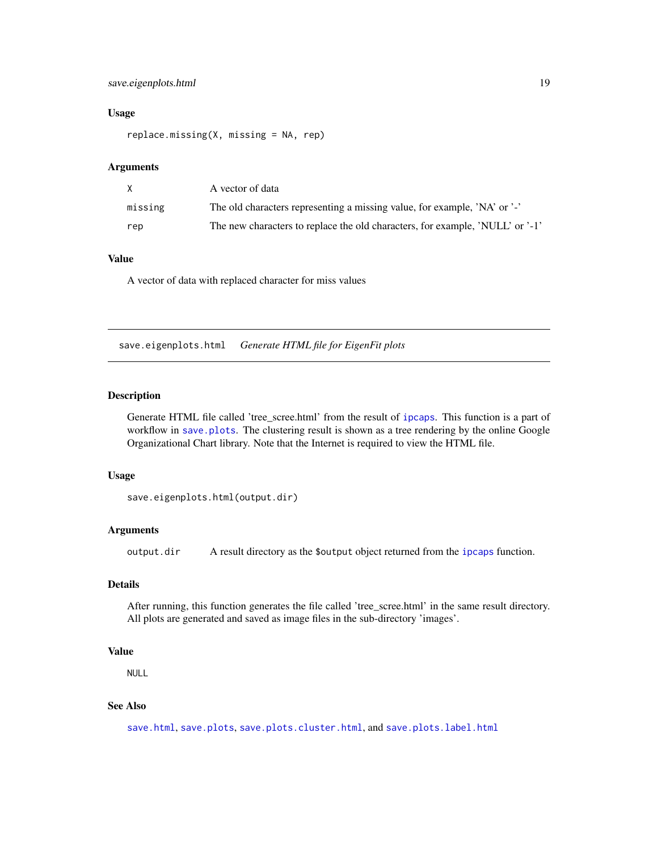# <span id="page-18-0"></span>save.eigenplots.html 19

# Usage

replace.missing(X, missing = NA, rep)

#### Arguments

| X.      | A vector of data                                                              |
|---------|-------------------------------------------------------------------------------|
| missing | The old characters representing a missing value, for example, 'NA' or '-'     |
| rep     | The new characters to replace the old characters, for example, 'NULL' or '-1' |

# Value

A vector of data with replaced character for miss values

<span id="page-18-1"></span>save.eigenplots.html *Generate HTML file for EigenFit plots*

# Description

Generate HTML file called 'tree\_scree.html' from the result of [ipcaps](#page-8-1). This function is a part of workflow in [save.plots](#page-20-1). The clustering result is shown as a tree rendering by the online Google Organizational Chart library. Note that the Internet is required to view the HTML file.

# Usage

```
save.eigenplots.html(output.dir)
```
#### Arguments

output.dir A result directory as the \$output object returned from the [ipcaps](#page-8-1) function.

# Details

After running, this function generates the file called 'tree\_scree.html' in the same result directory. All plots are generated and saved as image files in the sub-directory 'images'.

# Value

NULL

# See Also

[save.html](#page-19-1), [save.plots](#page-20-1), [save.plots.cluster.html](#page-21-1), and [save.plots.label.html](#page-22-1)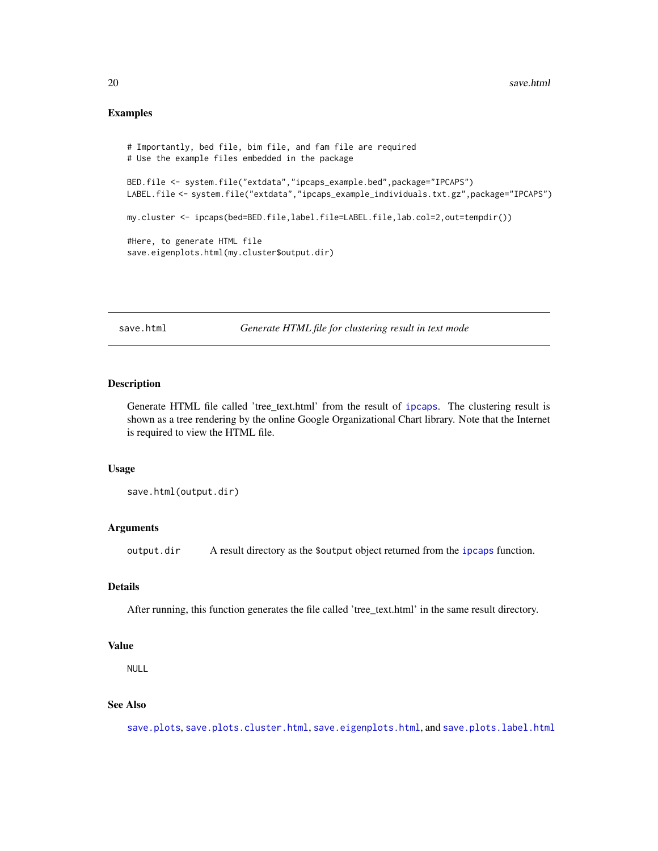# <span id="page-19-0"></span>Examples

```
# Importantly, bed file, bim file, and fam file are required
# Use the example files embedded in the package
BED.file <- system.file("extdata","ipcaps_example.bed",package="IPCAPS")
LABEL.file <- system.file("extdata","ipcaps_example_individuals.txt.gz",package="IPCAPS")
my.cluster <- ipcaps(bed=BED.file,label.file=LABEL.file,lab.col=2,out=tempdir())
#Here, to generate HTML file
save.eigenplots.html(my.cluster$output.dir)
```
<span id="page-19-1"></span>save.html *Generate HTML file for clustering result in text mode*

# Description

Generate HTML file called 'tree\_text.html' from the result of [ipcaps](#page-8-1). The clustering result is shown as a tree rendering by the online Google Organizational Chart library. Note that the Internet is required to view the HTML file.

#### Usage

save.html(output.dir)

# Arguments

output.dir A result directory as the \$output object returned from the [ipcaps](#page-8-1) function.

# Details

After running, this function generates the file called 'tree\_text.html' in the same result directory.

#### Value

NULL

# See Also

[save.plots](#page-20-1), [save.plots.cluster.html](#page-21-1), [save.eigenplots.html](#page-18-1), and [save.plots.label.html](#page-22-1)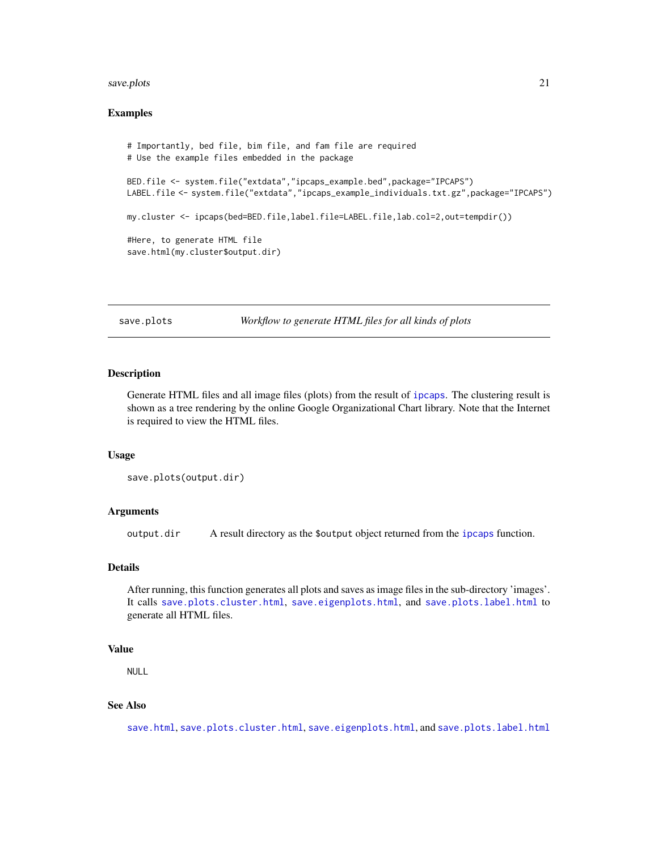#### <span id="page-20-0"></span>save.plots 21

#### Examples

```
# Importantly, bed file, bim file, and fam file are required
# Use the example files embedded in the package
BED.file <- system.file("extdata","ipcaps_example.bed",package="IPCAPS")
LABEL.file <- system.file("extdata","ipcaps_example_individuals.txt.gz",package="IPCAPS")
my.cluster <- ipcaps(bed=BED.file,label.file=LABEL.file,lab.col=2,out=tempdir())
#Here, to generate HTML file
save.html(my.cluster$output.dir)
```
<span id="page-20-1"></span>save.plots *Workflow to generate HTML files for all kinds of plots*

# Description

Generate HTML files and all image files (plots) from the result of [ipcaps](#page-8-1). The clustering result is shown as a tree rendering by the online Google Organizational Chart library. Note that the Internet is required to view the HTML files.

#### Usage

```
save.plots(output.dir)
```
#### Arguments

output.dir A result directory as the \$output object returned from the [ipcaps](#page-8-1) function.

# Details

After running, this function generates all plots and saves as image files in the sub-directory 'images'. It calls [save.plots.cluster.html](#page-21-1), [save.eigenplots.html](#page-18-1), and [save.plots.label.html](#page-22-1) to generate all HTML files.

#### Value

NULL

#### See Also

[save.html](#page-19-1), [save.plots.cluster.html](#page-21-1), [save.eigenplots.html](#page-18-1), and [save.plots.label.html](#page-22-1)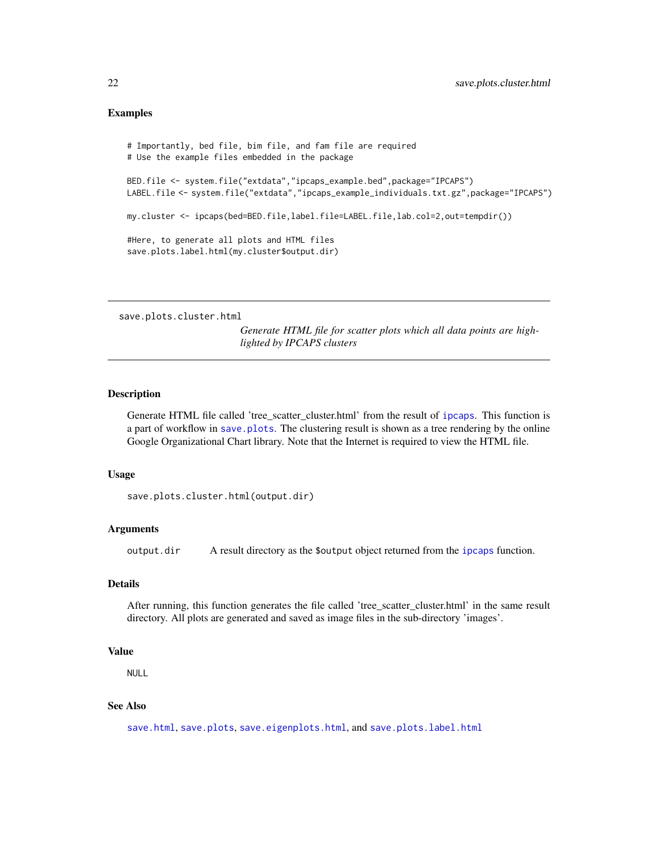# <span id="page-21-0"></span>Examples

```
# Importantly, bed file, bim file, and fam file are required
# Use the example files embedded in the package
BED.file <- system.file("extdata","ipcaps_example.bed",package="IPCAPS")
LABEL.file <- system.file("extdata","ipcaps_example_individuals.txt.gz",package="IPCAPS")
my.cluster <- ipcaps(bed=BED.file,label.file=LABEL.file,lab.col=2,out=tempdir())
#Here, to generate all plots and HTML files
save.plots.label.html(my.cluster$output.dir)
```
<span id="page-21-1"></span>save.plots.cluster.html

*Generate HTML file for scatter plots which all data points are highlighted by IPCAPS clusters*

#### Description

Generate HTML file called 'tree\_scatter\_cluster.html' from the result of [ipcaps](#page-8-1). This function is a part of workflow in [save.plots](#page-20-1). The clustering result is shown as a tree rendering by the online Google Organizational Chart library. Note that the Internet is required to view the HTML file.

#### Usage

save.plots.cluster.html(output.dir)

#### Arguments

output.dir A result directory as the \$output object returned from the [ipcaps](#page-8-1) function.

# Details

After running, this function generates the file called 'tree\_scatter\_cluster.html' in the same result directory. All plots are generated and saved as image files in the sub-directory 'images'.

# Value

NULL

# See Also

[save.html](#page-19-1), [save.plots](#page-20-1), [save.eigenplots.html](#page-18-1), and [save.plots.label.html](#page-22-1)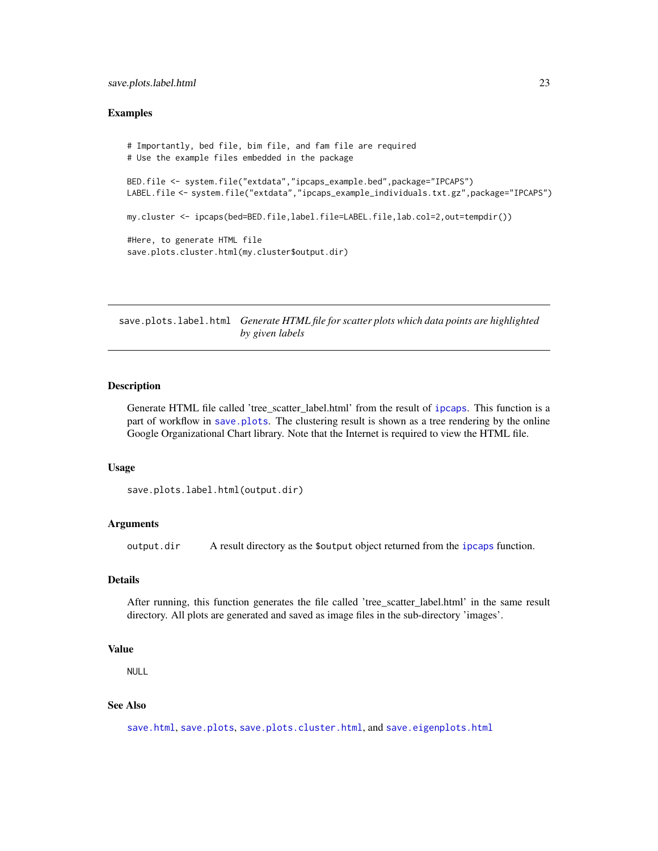# <span id="page-22-0"></span>save.plots.label.html 23

#### Examples

```
# Importantly, bed file, bim file, and fam file are required
# Use the example files embedded in the package
BED.file <- system.file("extdata","ipcaps_example.bed",package="IPCAPS")
LABEL.file <- system.file("extdata","ipcaps_example_individuals.txt.gz",package="IPCAPS")
my.cluster <- ipcaps(bed=BED.file,label.file=LABEL.file,lab.col=2,out=tempdir())
#Here, to generate HTML file
save.plots.cluster.html(my.cluster$output.dir)
```
<span id="page-22-1"></span>save.plots.label.html *Generate HTML file for scatter plots which data points are highlighted by given labels*

#### **Description**

Generate HTML file called 'tree\_scatter\_label.html' from the result of [ipcaps](#page-8-1). This function is a part of workflow in [save.plots](#page-20-1). The clustering result is shown as a tree rendering by the online Google Organizational Chart library. Note that the Internet is required to view the HTML file.

#### Usage

```
save.plots.label.html(output.dir)
```
# Arguments

output.dir A result directory as the \$output object returned from the [ipcaps](#page-8-1) function.

# Details

After running, this function generates the file called 'tree\_scatter\_label.html' in the same result directory. All plots are generated and saved as image files in the sub-directory 'images'.

#### Value

NULL

# See Also

[save.html](#page-19-1), [save.plots](#page-20-1), [save.plots.cluster.html](#page-21-1), and [save.eigenplots.html](#page-18-1)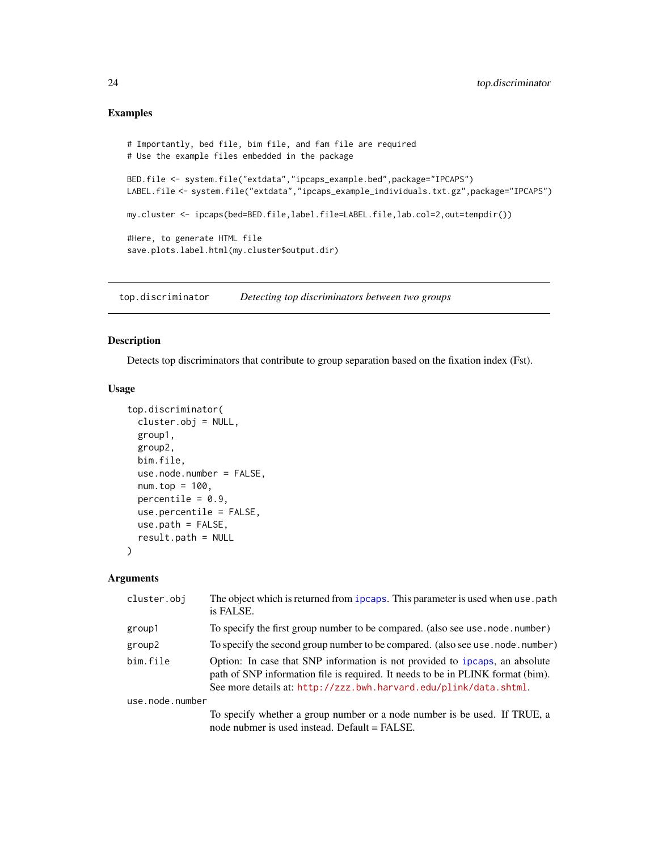# Examples

```
# Importantly, bed file, bim file, and fam file are required
# Use the example files embedded in the package
BED.file <- system.file("extdata","ipcaps_example.bed",package="IPCAPS")
LABEL.file <- system.file("extdata","ipcaps_example_individuals.txt.gz",package="IPCAPS")
my.cluster <- ipcaps(bed=BED.file,label.file=LABEL.file,lab.col=2,out=tempdir())
#Here, to generate HTML file
save.plots.label.html(my.cluster$output.dir)
```
top.discriminator *Detecting top discriminators between two groups*

#### Description

Detects top discriminators that contribute to group separation based on the fixation index (Fst).

# Usage

```
top.discriminator(
 cluster.obj = NULL,
 group1,
 group2,
 bim.file,
 use.node.number = FALSE,
 num.top = 100,percentile = 0.9,
 use.percentile = FALSE,
 use.path = FALSE,result.path = NULL
)
```

| cluster.obj     | The object which is returned from ipcaps. This parameter is used when use . path<br>is FALSE.                                                                                                                                       |
|-----------------|-------------------------------------------------------------------------------------------------------------------------------------------------------------------------------------------------------------------------------------|
| group1          | To specify the first group number to be compared. (also see use . node . number)                                                                                                                                                    |
| group2          | To specify the second group number to be compared. (also see use . node . number)                                                                                                                                                   |
| bim.file        | Option: In case that SNP information is not provided to ipcaps, an absolute<br>path of SNP information file is required. It needs to be in PLINK format (bim).<br>See more details at: http://zzz.bwh.harvard.edu/plink/data.shtml. |
| use.node.number |                                                                                                                                                                                                                                     |
|                 | To specify whether a group number or a node number is be used. If TRUE, a<br>node nubmer is used instead. Default = FALSE.                                                                                                          |

<span id="page-23-0"></span>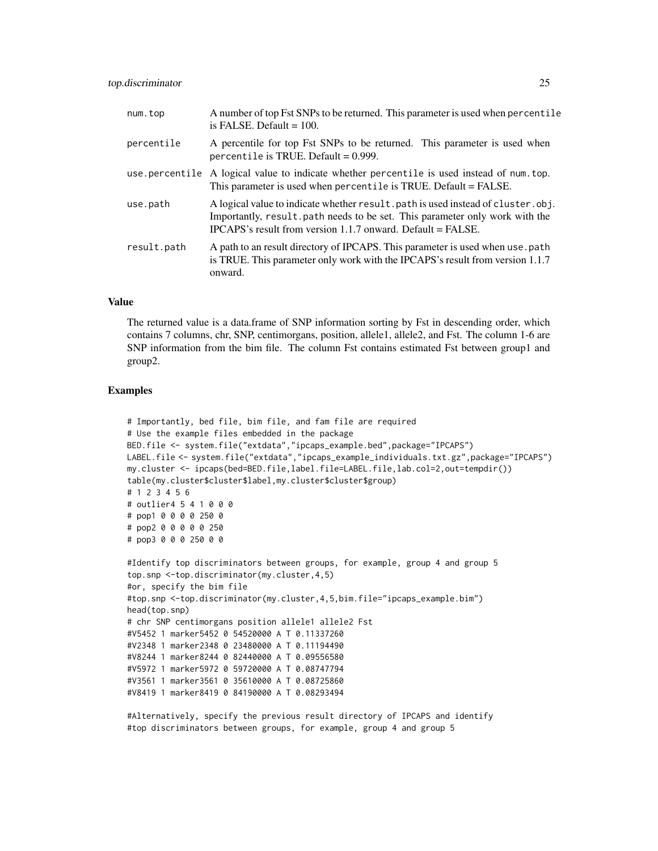| num.top        | A number of top Fst SNPs to be returned. This parameter is used when percentile<br>is FALSE. Default $= 100$ .                                                                                                                    |
|----------------|-----------------------------------------------------------------------------------------------------------------------------------------------------------------------------------------------------------------------------------|
| percentile     | A percentile for top Fst SNPs to be returned. This parameter is used when<br>percentile is TRUE. Default = $0.999$ .                                                                                                              |
| use.percentile | A logical value to indicate whether percentile is used instead of num. top.<br>This parameter is used when percentile is TRUE. Default = FALSE.                                                                                   |
| use.path       | A logical value to indicate whether result, path is used instead of cluster, obj.<br>Importantly, result path needs to be set. This parameter only work with the<br>IPCAPS's result from version 1.1.7 onward. Default $=$ FALSE. |
| result.path    | A path to an result directory of IPCAPS. This parameter is used when use path<br>is TRUE. This parameter only work with the IPCAPS's result from version 1.1.7<br>onward.                                                         |

The returned value is a data.frame of SNP information sorting by Fst in descending order, which contains 7 columns, chr, SNP, centimorgans, position, allele1, allele2, and Fst. The column 1-6 are SNP information from the bim file. The column Fst contains estimated Fst between group1 and group2.

#### Examples

```
# Importantly, bed file, bim file, and fam file are required
# Use the example files embedded in the package
BED.file <- system.file("extdata","ipcaps_example.bed",package="IPCAPS")
LABEL.file <- system.file("extdata","ipcaps_example_individuals.txt.gz",package="IPCAPS")
my.cluster <- ipcaps(bed=BED.file,label.file=LABEL.file,lab.col=2,out=tempdir())
table(my.cluster$cluster$label,my.cluster$cluster$group)
# 1 2 3 4 5 6
# outlier4 5 4 1 0 0 0
# pop1 0 0 0 0 250 0
# pop2 0 0 0 0 0 250
# pop3 0 0 0 250 0 0
#Identify top discriminators between groups, for example, group 4 and group 5
top.snp <-top.discriminator(my.cluster,4,5)
#or, specify the bim file
#top.snp <-top.discriminator(my.cluster,4,5,bim.file="ipcaps_example.bim")
head(top.snp)
# chr SNP centimorgans position allele1 allele2 Fst
#V5452 1 marker5452 0 54520000 A T 0.11337260
#V2348 1 marker2348 0 23480000 A T 0.11194490
#V8244 1 marker8244 0 82440000 A T 0.09556580
#V5972 1 marker5972 0 59720000 A T 0.08747794
#V3561 1 marker3561 0 35610000 A T 0.08725860
#V8419 1 marker8419 0 84190000 A T 0.08293494
```
#Alternatively, specify the previous result directory of IPCAPS and identify #top discriminators between groups, for example, group 4 and group 5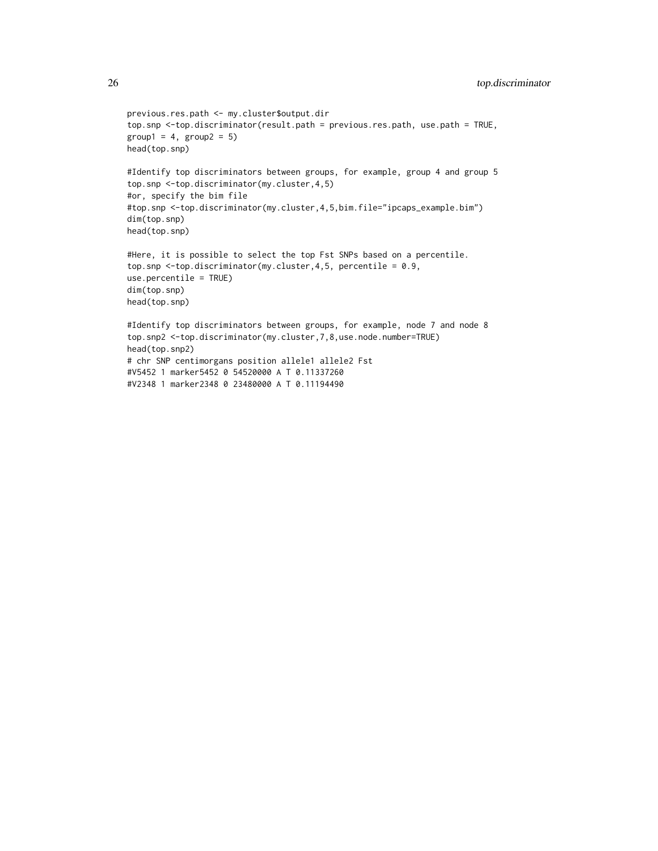```
previous.res.path <- my.cluster$output.dir
top.snp <-top.discriminator(result.path = previous.res.path, use.path = TRUE,
group1 = 4, group2 = 5)head(top.snp)
#Identify top discriminators between groups, for example, group 4 and group 5
top.snp <-top.discriminator(my.cluster,4,5)
#or, specify the bim file
#top.snp <-top.discriminator(my.cluster,4,5,bim.file="ipcaps_example.bim")
dim(top.snp)
head(top.snp)
#Here, it is possible to select the top Fst SNPs based on a percentile.
top.snp <-top.discriminator(my.cluster,4,5, percentile = 0.9,
use.percentile = TRUE)
dim(top.snp)
head(top.snp)
#Identify top discriminators between groups, for example, node 7 and node 8
top.snp2 <-top.discriminator(my.cluster,7,8,use.node.number=TRUE)
head(top.snp2)
# chr SNP centimorgans position allele1 allele2 Fst
#V5452 1 marker5452 0 54520000 A T 0.11337260
#V2348 1 marker2348 0 23480000 A T 0.11194490
```